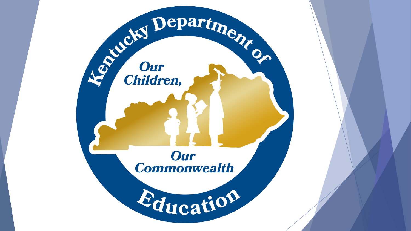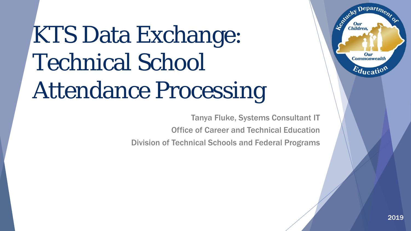# KTS Data Exchange: Technical School Attendance Processing

Tanya Fluke, Systems Consultant IT

Office of Career and Technical Education

Division of Technical Schools and Federal Programs

Departme.

Our **Commonwealth** 

 $E_{\text{ducati}}$ 

Leonicky

**Our**<br>Children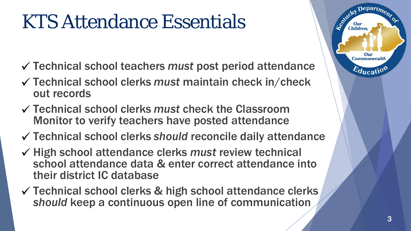# KTS Attendance Essentials

- Technical school teachers *must* post period attendance
- Technical school clerks *must* maintain check in/check out records
- Technical school clerks *must* check the Classroom Monitor to verify teachers have posted attendance
- Technical school clerks *should* reconcile daily attendance
- High school attendance clerks *must* review technical school attendance data & enter correct attendance into their district IC database
- Technical school clerks & high school attendance clerks *should* keep a continuous open line of communication



epartm

Our **Commonwealth** 

 $E_{\text{ducati}}$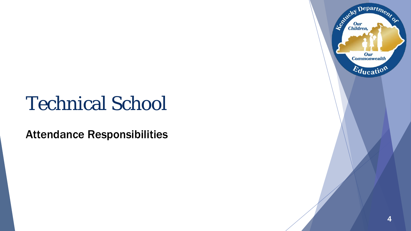## Technical School

Attendance Responsibilities

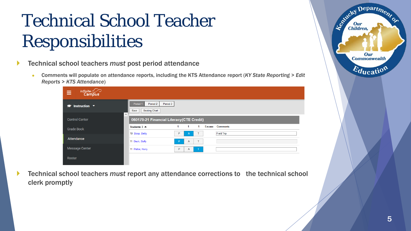## Technical School Teacher Responsibilities

- Technical school teachers *must* post period attendance
	- Comments will populate on attendance reports, including the KTS Attendance report (*KY State Reporting > Edit Reports > KTS Attendance*)

| Infinite <b>Campus</b><br>≡      |                                                                              |
|----------------------------------|------------------------------------------------------------------------------|
| $\Rightarrow$ Instruction $\sim$ | Period 3<br>Period 2<br>Period 1<br><b>Seating Chart</b><br>Save<br>$\sim$   |
| <b>Control Center</b>            | 060170-21 Financial Literacy(CTE Credit)                                     |
| <b>Grade Book</b>                | <b>Excuse Comments</b><br>1<br>$\mathbf{1}$<br>-1<br>Students: $3 \triangle$ |
|                                  | <b>Field Trip</b><br>10 Boop, Betty<br>P<br>$\mathsf{T}$<br>$\mathbf{A}$     |
|                                  |                                                                              |
| Attendance                       | 11 Duck, Daffy<br>т<br>P<br>A                                                |
| Message Center                   | 11 Potter, Harry<br>P<br>$\top$<br>A                                         |

 Technical school teachers *must* report any attendance corrections to the technical school clerk promptly

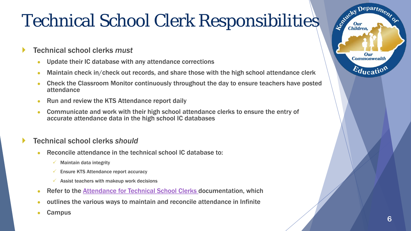## Technical School Clerk Responsibilities

- Technical school clerks *must*
	- Update their IC database with any attendance corrections
	- Maintain check in/check out records, and share those with the high school attendance clerk
	- Check the Classroom Monitor continuously throughout the day to ensure teachers have posted attendance
	- Run and review the KTS Attendance report daily
	- Communicate and work with their high school attendance clerks to ensure the entry of accurate attendance data in the high school IC databases

#### Technical school clerks *should*

- Reconcile attendance in the technical school IC database to:
	- Maintain data integrity
	- $\checkmark$  Ensure KTS Attendance report accuracy
	- $\checkmark$  Assist teachers with makeup work decisions
- **Refer to the [Attendance for Technical School Clerks](http://education.ky.gov/districts/tech/sis/Documents/AttendanceforATCClerks.pdf) documentation, which**
- outlines the various ways to maintain and reconcile attendance in Infinite
- **Campus**

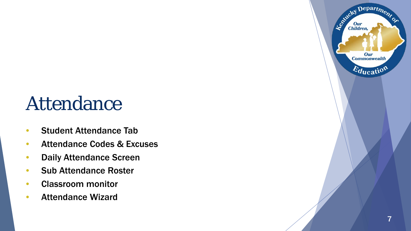## Attendance

- Student Attendance Tab
- Attendance Codes & Excuses
- Daily Attendance Screen
- Sub Attendance Roster
- Classroom monitor
- Attendance Wizard

Departme.

Our **Commonwealth** 

 $E_{\text{ducatio}}$ 

Entreky I

Our<br>Children,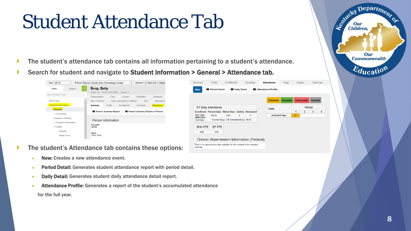## Student Attendance Tab

- The student's attendance tab contains all information pertaining to a student's attendance.
- Search for student and navigate to Student Information > General > Attendance tab.

| Search<br>Index              | Boop, Betty<br>Grade: 10 DOB: 01/01/2000 Gender: F                                          | Period Detail<br>Daily Detail<br>Attendance Profile<br><b>New</b>                                 |                |
|------------------------------|---------------------------------------------------------------------------------------------|---------------------------------------------------------------------------------------------------|----------------|
| Search Campus Tools          | Fees<br>Graduation<br>Standards<br>Transportation<br>Lockers                                |                                                                                                   |                |
| <b>Tanya Fluke</b>           | <b>Early Learning/Prior Settings</b><br><b>ESS</b><br><b>Title 1 Services</b><br>Attendance | <b>Excused</b><br><b>Unexcused</b> Exempt<br><b>Unknown</b>                                       |                |
| ▼ Student Information        | Attendance<br>Schedule<br>Profile<br>Enrollments<br><b>Summary</b>                          | <b>KY Daily Attendance</b><br>Period                                                              |                |
| General                      | Person Summary Report w/ Picture<br>Person Summary Report                                   | <b>Date</b><br><b>Enrollment Present Days Absent Days Tardies Unexcused</b><br>$2 \mid 3$<br>1    | $\blacksquare$ |
| ▶ Counseling                 |                                                                                             | <b>Start Date:</b><br>194.00<br>0.00<br>04/29/2019 Mon<br>$\bf{0}$<br>$\mathbf 0$<br>$\mathsf{A}$ |                |
| Academic Planning            |                                                                                             | 08/01/2018<br>Enrolled Days: 238 Scheduled Days: 99.82                                            |                |
| ▶ Program Participation      | Person Information                                                                          | End Date:                                                                                         |                |
| $\blacktriangleright$ Health | PersonID<br>187742                                                                          | <b>BT FTE</b><br><b>EHO FTE</b>                                                                   |                |
| General                      |                                                                                             | 0.00<br>0.00                                                                                      |                |
| <b>Blank Forms</b>           | <b>Name</b><br>Boop, Betty                                                                  |                                                                                                   |                |
| when the company of the com- |                                                                                             | Chronic Absenteeism Information (Federal)                                                         |                |
|                              |                                                                                             | There is no absenteeism data available for this student in the selected                           |                |

calendar

- The student's Attendance tab contains these options:
	- New: Creates a new attendance event.
	- Period Detail: Generates student attendance report with period detail.
	- Daily Detail: Generates student daily attendance detail report.
	- Attendance Profile: Generates a report of the student's accumulated attendance

for the full year.

Depart<sub>m</sub>

Our **Commonwealth** 

 $\varepsilon_{\text{ducati}}$ 

Agencies I

Our<br>Children,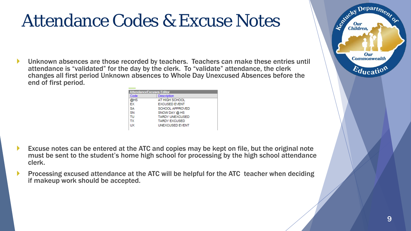#### Attendance Codes & Excuse Notes

 Unknown absences are those recorded by teachers. Teachers can make these entries until attendance is "validated" for the day by the clerk. To "validate" attendance, the clerk changes all first period Unknown absences to Whole Day Unexcused Absences before the end of first period.

| <b>Attendance Excuses Editor</b> |                        |
|----------------------------------|------------------------|
| Code                             | Description            |
| @HS                              | AT HIGH SCHOOL         |
| EX                               | <b>EXCUSED EVENT</b>   |
| SΑ                               | SCHOOL APPROVED        |
| SN                               | SNOW DAY @ HS          |
| тu                               | <b>TARDY UNEXCUSED</b> |
| ТX                               | <b>TARDY EXCUSED</b>   |
| UX                               | <b>UNEXCUSED EVENT</b> |
|                                  |                        |

- Excuse notes can be entered at the ATC and copies may be kept on file, but the original note must be sent to the student's home high school for processing by the high school attendance clerk.
- Processing excused attendance at the ATC will be helpful for the ATC teacher when deciding if makeup work should be accepted.

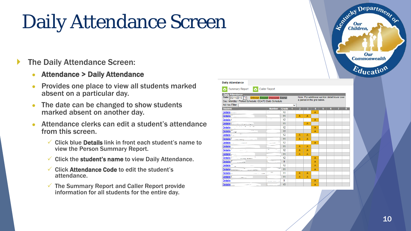# Daily Attendance Screen

#### The Daily Attendance Screen:

- Attendance > Daily Attendance
- Provides one place to view all students marked absent on a particular day.
- The date can be changed to show students marked absent on another day.
- Attendance clerks can edit a student's attendance from this screen.
	- $\checkmark$  Click blue Details link in front each student's name to view the Person Summary Report.
	- $\checkmark$  Click the student's name to view Daily Attendance.
	- $\checkmark$  Click Attendance Code to edit the student's attendance.
	- $\checkmark$  The Summary Report and Caller Report provide information for all students for the entire day.

|                                                                                                                    |                      |       |   |                                                                               |                         |   |   |   | Our<br>Commonwealth<br>Education |
|--------------------------------------------------------------------------------------------------------------------|----------------------|-------|---|-------------------------------------------------------------------------------|-------------------------|---|---|---|----------------------------------|
| <b>Daily Attendance</b>                                                                                            |                      |       |   |                                                                               |                         |   |   |   |                                  |
| <b>Summary Report</b><br>ō                                                                                         | <b>Caller Report</b> |       |   |                                                                               |                         |   |   |   |                                  |
| <b>Daily Attendance</b>                                                                                            |                      |       |   |                                                                               |                         |   |   |   |                                  |
| Date: 05/11/2015<br><b>Unknown Excused Unexcused Exempt</b><br>Day: Monday - Period Schedule: CCATC Daily Schedule |                      |       |   | Note: For additional section detail hover over<br>a period in the grid below. |                         |   |   |   |                                  |
| Ad Hoc Filter                                                                                                      |                      |       | ◡ |                                                                               |                         |   |   |   |                                  |
| <b>Student</b>                                                                                                     | <b>Number</b>        | Grade |   | $\overline{2}$<br>$\overline{\mathbf{3}}$                                     | $\overline{\mathbf{4}}$ | 5 | 6 | 8 |                                  |
| Details L                                                                                                          | ٠.                   | 10    |   |                                                                               | A                       |   |   |   |                                  |
| <b>Details</b>                                                                                                     |                      | 11    | A | A                                                                             |                         |   |   |   |                                  |
| Details (                                                                                                          | $\ddot{\phantom{1}}$ | 12    |   |                                                                               | A                       |   |   |   |                                  |
| <b>Details</b>                                                                                                     |                      | 11    |   | A                                                                             |                         |   |   |   |                                  |
| <b>Details</b>                                                                                                     |                      | 12    |   |                                                                               | A                       |   |   |   |                                  |
| <b>Details</b><br>- se                                                                                             |                      | 12    |   |                                                                               | А                       |   |   |   |                                  |
| <b>Details</b>                                                                                                     |                      | 12    | A | А                                                                             |                         |   |   |   |                                  |
| <b>Details</b><br>رنامعا ومات                                                                                      |                      | 11    | A | A                                                                             |                         |   |   |   |                                  |
| <b>Details</b><br><b>Constitution</b>                                                                              |                      | 12    |   |                                                                               | A                       |   |   |   |                                  |
| <b>Details</b>                                                                                                     |                      | 11    | A | A                                                                             |                         |   |   |   |                                  |
| Details <sup>'</sup>                                                                                               | ۰.                   | 12    | A | A                                                                             |                         |   |   |   |                                  |
| Details.                                                                                                           | $\overline{a}$       | 11    | A | А                                                                             |                         |   |   |   |                                  |
| <b>Details</b><br>a salaway                                                                                        | ×                    | 12    |   |                                                                               | A                       |   |   |   |                                  |
| <b>Details</b><br>-----                                                                                            |                      | 9     |   |                                                                               | A                       |   |   |   |                                  |
| Details <sup>~</sup>                                                                                               |                      | 12    |   |                                                                               | A                       |   |   |   |                                  |
| Details _                                                                                                          |                      | 11    |   |                                                                               | A                       |   |   |   |                                  |
| Details _                                                                                                          |                      | 11    | A | A                                                                             |                         |   |   |   |                                  |
| Details \                                                                                                          |                      | 11    | A | A                                                                             |                         |   |   |   |                                  |
| Details"                                                                                                           |                      | 9     |   |                                                                               | A                       |   |   |   |                                  |
| <b>Details</b>                                                                                                     |                      | 10    |   |                                                                               | А                       |   |   |   |                                  |

Departme.

Agentucky I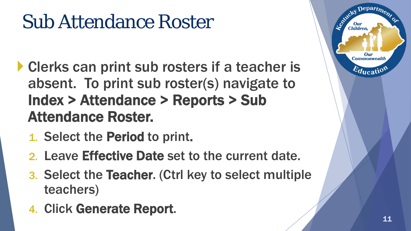# Sub Attendance Roster

- **Clerks can print sub rosters if a teacher is** absent. To print sub roster(s) navigate to Index > Attendance > Reports > Sub Attendance Roster.
	- 1. Select the Period to print.
	- 2. Leave Effective Date set to the current date.
	- 3. Select the Teacher. (Ctrl key to select multiple teachers)
	- 4. Click Generate Report.

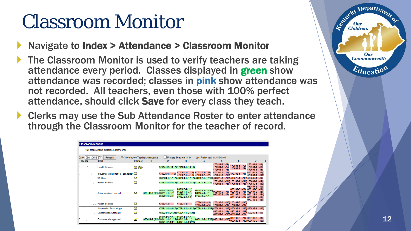## Classroom Monitor

- Navigate to Index > Attendance > Classroom Monitor
- The Classroom Monitor is used to verify teachers are taking attendance every period. Classes displayed in green show attendance was recorded; classes in pink show attendance was not recorded. All teachers, even those with 100% perfect attendance, should click Save for every class they teach.
- ▶ Clerks may use the Sub Attendance Roster to enter attendance through the Classroom Monitor for the teacher of record.

| <b>Classroom Monitor</b> |                                          |                               |   |                                                                   |                                                                                                       |                                                                     |                                                          |                                                                                                 |                                                                                                                       |  |
|--------------------------|------------------------------------------|-------------------------------|---|-------------------------------------------------------------------|-------------------------------------------------------------------------------------------------------|---------------------------------------------------------------------|----------------------------------------------------------|-------------------------------------------------------------------------------------------------|-----------------------------------------------------------------------------------------------------------------------|--|
|                          | This tool monitors classroom attendance. |                               |   |                                                                   |                                                                                                       |                                                                     |                                                          |                                                                                                 |                                                                                                                       |  |
| Date: 05/11/2015         | Ö<br><b>Refresh</b><br>mа                | Incomplete Teacher Attendance |   |                                                                   | <b>Primary Teachers Only</b>                                                                          | Last Refreshed: 11:45:08 AM                                         |                                                          |                                                                                                 |                                                                                                                       |  |
| <b>Teacher</b>           | <b>Dept</b>                              | Contact                       | 1 | $\overline{2}$                                                    | 3                                                                                                     | 4                                                                   | 5                                                        | 6                                                                                               |                                                                                                                       |  |
|                          | <b>Health Science</b>                    | 四谷                            |   |                                                                   | 170141-2 (16/17) 170168-1 (18/19)                                                                     |                                                                     | $170181 - 2(-12)$<br>$170501 - 1(-15)$<br>170601-1 (-/4) | $170501 - 1$ (- $/5$ )<br>170601-1 (--/4)                                                       | $170141 - 4(-11)$<br>$170591 - 1$ (--12)<br>$170601 - 1$ (--/4)                                                       |  |
|                          | Industrial Maintenance Technology        |                               |   | 470325-1 (-- /16)                                                 | 470301-1 (--/16) 470317-4 (--/6)<br>470302-1 (--/16) 470334-2 (--/2)                                  |                                                                     | 470306-1 (--/1)<br>470348-1 (-/16)                       | 470306-1 (-/1                                                                                   | $470306 - 1(-11)$<br>470334-1 (--/11)                                                                                 |  |
|                          | Welding                                  | $\mathbf{z}$                  |   |                                                                   | 480506-1 (17/17) 480506-1 (17/17) 480532-1 (12/12) 480525-1 (--/18) 480529-1 (--/18) 480502-1 (--/9)  |                                                                     |                                                          |                                                                                                 |                                                                                                                       |  |
|                          | <b>Health Science</b>                    | X                             |   |                                                                   | 170631-1 (14/18) 170141-1 (13/17) 170631-2 (7/11)                                                     |                                                                     |                                                          | 170169-1 (--/11) 170169-1 (--/11) 170601-1 (--/4)<br>170601-1 (-4) 170601-1 (-4) 170640-1 (-40) |                                                                                                                       |  |
|                          | Administrative Support                   | ×                             |   | 060107-4 (1/1)<br>060107-4 (1/1) 060511-1 (1/1)<br>060751-1 (3/4) | 060107-4 (1/1)<br>060751-1 (3/4)<br>060751-2 (1/1)<br>070743-2 (2/2)                                  | 060112-3 (21/23) 060107-5 (-/1)<br>060155-4 (1/1)<br>070743-5 (1/1) | $060155 - 2(-18)$                                        | 060107-3 (-- /3)<br>$060107 - 5(-11)$<br>$060107 - 6 (-13)$<br>$060155 - 2$ (--/8)              | $060107 - 3(-13)$<br>$060107 - 5(-11)$<br>060107-6 (--/3)<br>060112-4 (-- / 24)<br>$060761 - 1(-1)$<br>$070743-3(-1)$ |  |
|                          | <b>Health Science</b>                    | $\tilde{\phantom{a}}$         |   | $170631 - 3(-7)$                                                  | $170631 - 3(-7)$                                                                                      | 170601-3 (-/3)<br>170640-3 (-/5)                                    | $170601 - 3(-13)$ $170601 - 3(-13)$                      | 170199-3 (--/10) 170142-3 (--/13)                                                               |                                                                                                                       |  |
|                          | Automotive Technology                    | X                             |   |                                                                   | 470513-1 (16/17) 470514-1 (16/17) 470510-4 (13/16) 470521-1 (--/12) 470522-1 (--/12) 470522-1 (--/12) |                                                                     |                                                          |                                                                                                 |                                                                                                                       |  |
|                          | Construction Carpentry                   | X                             |   |                                                                   | 460224-1 (21/21) 460217-1 (21/21)                                                                     |                                                                     | 460301-1 (--/15) 460242-1 (--/2)                         | 460242-1 (-12) 460228-1 (-115) 460242-1 (-12)                                                   |                                                                                                                       |  |
|                          | <b>Business Management</b>               | X                             |   | 060112-6 (1/1)<br>060411-2 (2/2) 060411-1 (21/22) 060122-5 (1/1)  | $060112 - 6(1/1)$<br>060411-2 (2/2) 060411-1 (20/22)                                                  | 060112-5 (25/27) 060122-1 (-- /10)                                  |                                                          | $060107 - 3(-13) 060107 - 3(-13)$<br>060122-1 (--/10) 060112-2 (--/26)                          |                                                                                                                       |  |

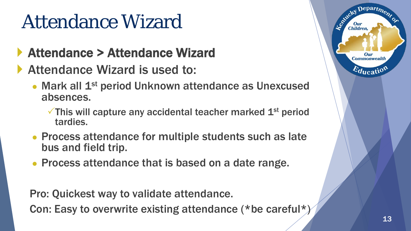# Attendance Wizard

- ▶ Attendance > Attendance Wizard
- Attendance Wizard is used to:
	- Mark all 1<sup>st</sup> period Unknown attendance as Unexcused absences.
		- $\checkmark$  This will capture any accidental teacher marked  $1<sup>st</sup>$  period tardies.
	- Process attendance for multiple students such as late bus and field trip.
	- Process attendance that is based on a date range.

Pro: Quickest way to validate attendance.

Con: Easy to overwrite existing attendance (\*be careful\*)



epart<sub>m</sub>

**Commonwealth** 

 $E_{\text{ducati}}$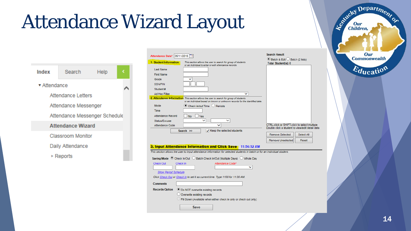# Attendance Wizard Layout



| Attendance Date* 05/11/2015  |                                                                                                                                                                       | <b>Search Result</b>                                             |
|------------------------------|-----------------------------------------------------------------------------------------------------------------------------------------------------------------------|------------------------------------------------------------------|
| 1. Student Information       | This section allows the user to search for group of students<br>or an individual to enter or edit attendance records.                                                 | <b>● Batch &amp; Edit Batch (2 lists)</b><br>Total Student(s): 0 |
| <b>Last Name</b>             |                                                                                                                                                                       |                                                                  |
| <b>First Name</b>            |                                                                                                                                                                       |                                                                  |
| Grade                        |                                                                                                                                                                       |                                                                  |
| <b>SSN/PIN</b>               |                                                                                                                                                                       |                                                                  |
| Student#                     |                                                                                                                                                                       |                                                                  |
| Ad Hoc Filter                | v                                                                                                                                                                     |                                                                  |
|                              | 2. Attendance Information This section allows the user to search for group of students<br>or an individual based on known or unknown records for the identified date. |                                                                  |
| Mode                         | Check in/out Time $\heartsuit$ Periods                                                                                                                                |                                                                  |
| <b>Time</b>                  |                                                                                                                                                                       |                                                                  |
| Attendance Record            | No<br><b>Yes</b>                                                                                                                                                      |                                                                  |
| Status/Excuse                | $\check{ }$                                                                                                                                                           |                                                                  |
| Attendance Code              |                                                                                                                                                                       | CTRL-click or SHIFT-click to select multiple                     |
|                              | $\sqrt{}$ Keep the selected students<br>Search $\gg$                                                                                                                  | Double click a student to view/edit detail data                  |
|                              |                                                                                                                                                                       | <b>Remove Selected</b><br>Select All                             |
|                              |                                                                                                                                                                       | Remove Unselected<br>Reset                                       |
|                              | 3. Input Attendance Information and Click Save 11:56:52 AM                                                                                                            |                                                                  |
|                              | This section allows the user to input attendance information for selected students in batch or for an individual student.                                             |                                                                  |
|                              |                                                                                                                                                                       |                                                                  |
|                              | Saving Mode © Check In/Out © Batch Check In/Out (Multiple Days)<br><b>Whole Dav</b>                                                                                   |                                                                  |
| <b>Check Out</b><br>Check In | Attendance Code*                                                                                                                                                      |                                                                  |
|                              |                                                                                                                                                                       |                                                                  |
| <b>Show Period Schedule</b>  |                                                                                                                                                                       |                                                                  |
|                              | Click Check Out or Check In to set it as current time. Type 1100 for 11:00 AM.                                                                                        |                                                                  |
| <b>Comments</b>              |                                                                                                                                                                       |                                                                  |
| <b>Records Option</b>        | ● Do NOT overwrite existing records                                                                                                                                   |                                                                  |
|                              | Overwrite existing records                                                                                                                                            |                                                                  |
|                              | Fill Down (Available when either check in only or check out only)                                                                                                     |                                                                  |
|                              |                                                                                                                                                                       |                                                                  |
|                              | Save                                                                                                                                                                  |                                                                  |

Le Children, J. J. Children, Our **Commonwealth**  $E_{\text{ducatio}}$ 14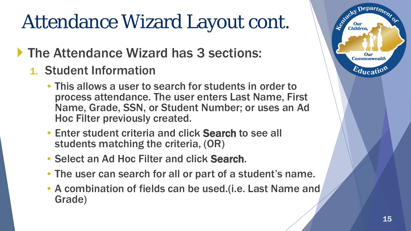# Attendance Wizard Layout cont.

#### The Attendance Wizard has 3 sections:

- 1. Student Information
	- This allows a user to search for students in order to process attendance. The user enters Last Name, First Name, Grade, SSN, or Student Number; or uses an Ad Hoc Filter previously created.
	- Enter student criteria and click Search to see all students matching the criteria, (OR)
	- Select an Ad Hoc Filter and click Search.
	- The user can search for all or part of a student's name.
	- A combination of fields can be used. (i.e. Last Name and Grade)

 $\epsilon$  Depart<sub>m</sub>

Our **Commonwealth** 

 $E_{\text{ducati}}$ 

Leo<sup>xid</sup>cky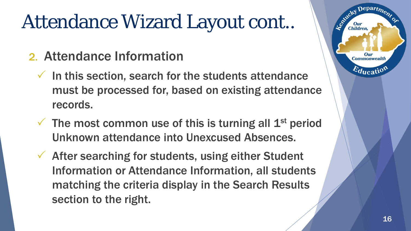# Attendance Wizard Layout cont..

- 2. Attendance Information
	- $\checkmark$  In this section, search for the students attendance must be processed for, based on existing attendance records.
	- $\checkmark$  The most common use of this is turning all 1<sup>st</sup> period Unknown attendance into Unexcused Absences.
	- $\checkmark$  After searching for students, using either Student Information or Attendance Information, all students matching the criteria display in the Search Results section to the right.

epartm

Our **Commonwealth** 

 $E_{\text{ducati}}$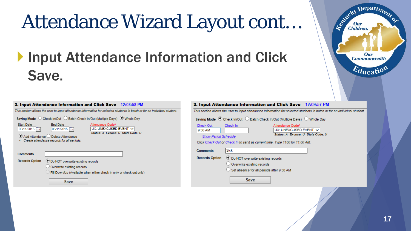# Attendance Wizard Layout cont…

#### **Input Attendance Information and Click** Save.



|                                          | 3. Input Attendance Information and Click Save 12:08:58 PM                                                                                                                                                                                                                                                                                                                                                        |                                                     | 3. Input Attendance Information                                                                                                                          |
|------------------------------------------|-------------------------------------------------------------------------------------------------------------------------------------------------------------------------------------------------------------------------------------------------------------------------------------------------------------------------------------------------------------------------------------------------------------------|-----------------------------------------------------|----------------------------------------------------------------------------------------------------------------------------------------------------------|
| Start Date<br>05/11/2015                 | This section allows the user to input attendance information for selected students in batch or for an individual student.<br>Saving Mode C Check In/Out C Batch Check In/Out (Multiple Days) @ Whole Day<br><b>End Date</b><br>Attendance Code*<br>UX: UNEXCUSED EVENT V<br>05/11/2015<br>Status: A Excuse: U State Code: U<br>● Add Attendance ◯ Delete Attendance<br>Create attendance records for all periods. | Check Out<br>9:30 AM<br><b>Show Period Schedule</b> | This section allows the user to input attendance<br>Saving Mode © Check In/Out ◯ Batch Ch<br>Check In<br>Click Check Out or Check In to set it as currer |
| <b>Comments</b><br><b>Records Option</b> | <b>◯ Do NOT overwrite existing records</b><br>$\cup$ Overwrite existing records<br>$\cup$ Fill Down/Up (Available when either check in only or check out only)<br><b>Save</b>                                                                                                                                                                                                                                     | <b>Comments</b><br><b>Records Option</b>            | <b>Sick</b><br><b>●</b> Do NOT overwrite exis<br>$\circlearrowright$ Overwrite existing reco<br>$\cup$ Set absence for all per<br><b>Save</b>            |

|                                                     | <b>3. Input Attendance Information and Click Save</b> 12:09:57 PM                                                         |
|-----------------------------------------------------|---------------------------------------------------------------------------------------------------------------------------|
|                                                     | This section allows the user to input attendance information for selected students in batch or for an individual student. |
|                                                     |                                                                                                                           |
| Check Out<br>9:30 AM<br><b>Show Period Schedule</b> | Attendance Code*<br>Check In<br>UX: UNEXCUSED EVENT V<br>Status: A Excuse: U State Code: U                                |
|                                                     | Click Check Out or Check In to set it as current time. Type 1100 for 11:00 AM.                                            |
| <b>Comments</b>                                     | <b>Sick</b>                                                                                                               |
| <b>Records Option</b>                               | <b>● Do NOT overwrite existing records</b>                                                                                |
|                                                     | Overwrite existing records                                                                                                |
|                                                     | Set absence for all periods after 9:30 AM                                                                                 |
|                                                     | Save                                                                                                                      |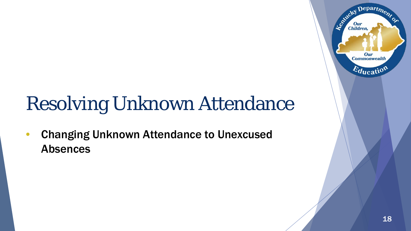# Resolving Unknown Attendance

• Changing Unknown Attendance to Unexcused Absences

Department

Our **Commonwealth** 

 $E_{\text{ducatio}}$ 

Agentucky I

Our<br>Children,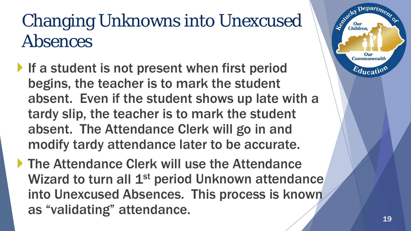## Changing Unknowns into Unexcused Absences

- If a student is not present when first period begins, the teacher is to mark the student absent. Even if the student shows up late with a tardy slip, the teacher is to mark the student absent. The Attendance Clerk will go in and modify tardy attendance later to be accurate.
- ▶ The Attendance Clerk will use the Attendance Wizard to turn all 1<sup>st</sup> period Unknown attendance into Unexcused Absences. This process is known as "validating" attendance.

 $e$ part $\eta$ 

Our **Commonwealtl**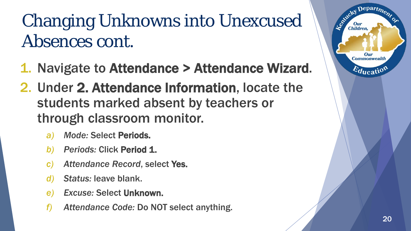## Changing Unknowns into Unexcused Absences cont.

- 1. Navigate to Attendance > Attendance Wizard.
- 2. Under 2. Attendance Information, locate the students marked absent by teachers or through classroom monitor.
	- *a) Mode:* Select Periods.
	- **b)** Periods: Click Period 1.
	- *c) Attendance Record*, select Yes.
	- *d) Status:* leave blank.
	- *e) Excuse:* Select Unknown.
	- *f) Attendance Code:* Do NOT select anything.

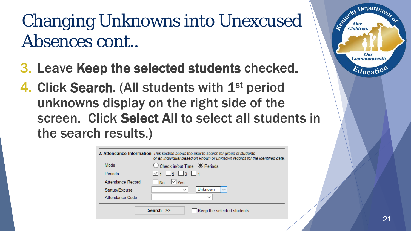## Changing Unknowns into Unexcused Absences cont..

- 3. Leave Keep the selected students checked.
- 4. Click Search. (All students with 1<sup>st</sup> period unknowns display on the right side of the screen. Click Select All to select all students in the search results.)

|                   | 2. Attendance Information This section allows the user to search for group of students<br>or an individual based on known or unknown records for the identified date |
|-------------------|----------------------------------------------------------------------------------------------------------------------------------------------------------------------|
| Mode              | $\bigcirc$ Check in/out Time $\bigcirc$ Periods                                                                                                                      |
| Periods           | $\sqrt{1}$     2     3     4                                                                                                                                         |
| Attendance Record | $\sqrt{v_{\rm{es}}}$<br>No                                                                                                                                           |
| Status/Excuse     | Unknown<br>$\checkmark$<br>$\checkmark$                                                                                                                              |
| Attendance Code   | $\checkmark$                                                                                                                                                         |
|                   | Search $\gg$<br>Keep the selected students                                                                                                                           |



 $Depart$ <sub> $n$ </sub>

Our **Commonwealth** 

 $E_{\text{ducati}}$ 

Le Child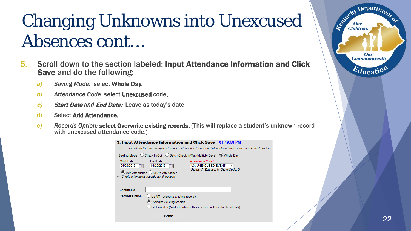## Changing Unknowns into Unexcused Absences cont…

- 5. Scroll down to the section labeled: Input Attendance Information and Click Save and do the following:
	- *a) Saving Mode:* select Whole Day.
	- *b) Attendance Code:* select Unexcused code.
	- c) Start Date *and* End Date: Leave as today's date.
	- d) Select Add Attendance.
	- *e) Records Option:* select Overwrite existing records. (This will replace a student's unknown record with unexcused attendance code.)

|                                      | <b>3. Input Attendance Information and Click Save 01:49:58 PM</b>                                                                                                                                                      |  |
|--------------------------------------|------------------------------------------------------------------------------------------------------------------------------------------------------------------------------------------------------------------------|--|
|                                      | This section allows the user to input attendance information for selected students in batch or for an individual studen                                                                                                |  |
|                                      | Saving Mode ○ Check In/Out ○ Batch Check In/Out (Multiple Days) ● Whole Day                                                                                                                                            |  |
| <b>Start Date</b><br>04/29/2019<br>₩ | <b>End Date</b><br>Attendance Code*<br>04/29/2019<br>UX: UNEXCUSED EVENT<br>$\checkmark$<br>₩<br>Status: A Excuse: U State Code: U<br>Add Attendance O Delete Attendance<br>Create attendance records for all periods. |  |
| <b>Comments</b>                      |                                                                                                                                                                                                                        |  |
| <b>Records Option</b>                | $\bigcirc$ Do NOT overwrite existing records<br>O Overwrite existing records<br>Fill Down/Up (Available when either check in only or check out only)<br>Save                                                           |  |

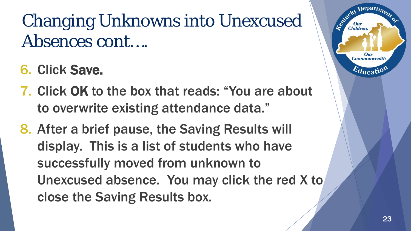## Changing Unknowns into Unexcused Absences cont….

- 6. Click Save.
- 7. Click OK to the box that reads: "You are about to overwrite existing attendance data."
- 8. After a brief pause, the Saving Results will display. This is a list of students who have successfully moved from unknown to Unexcused absence. You may click the red X to close the Saving Results box.

epart $\eta_{\alpha}$ 

**Commonwealth**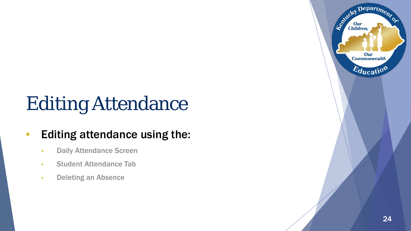# Editing Attendance

#### • Editing attendance using the:

- Daily Attendance Screen
- Student Attendance Tab
- Deleting an Absence

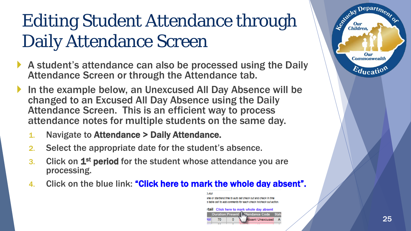## Editing Student Attendance through Daily Attendance Screen

- A student's attendance can also be processed using the Daily Attendance Screen or through the Attendance tab.
- In the example below, an Unexcused All Day Absence will be changed to an Excused All Day Absence using the Daily Attendance Screen. This is an efficient way to process attendance notes for multiple students on the same day.
	- 1. Navigate to Attendance > Daily Attendance.
	- 2. Select the appropriate date for the student's absence.
	- 3. Click on 1<sup>st</sup> period for the student whose attendance you are processing.
	- 4. Click on the blue link: "Click here to mark the whole day absent".



tail Click here to mark whole day absent **Juration Present Hendance Code**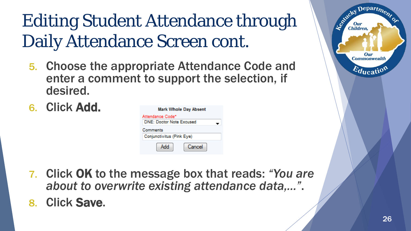## Editing Student Attendance through Daily Attendance Screen cont.

- 5. Choose the appropriate Attendance Code and enter a comment to support the selection, if desired.
- 6. Click Add.

| <b>Mark Whole Day Absent</b>                        |  |
|-----------------------------------------------------|--|
| Attendance Code*<br><b>DNE: Doctor Note Excused</b> |  |
| Comments                                            |  |
| Conjunctivitus (Pink Eye)                           |  |
| Add<br>Cancel                                       |  |

- 7. Click OK to the message box that reads: *"You are about to overwrite existing attendance data,…"*.
- 8. Click Save.



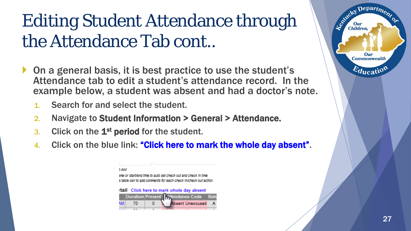## Editing Student Attendance through the Attendance Tab cont..

- On a general basis, it is best practice to use the student's Attendance tab to edit a student's attendance record. In the example below, a student was absent and had a doctor's note.
	- 1. Search for and select the student.
	- 2. Navigate to Student Information > General > Attendance.
	- 3. Click on the  $1<sup>st</sup>$  period for the student.
	- 4. Click on the blue link: "Click here to mark the whole day absent".

| 1 AM |    |                                                                  |                         |         |
|------|----|------------------------------------------------------------------|-------------------------|---------|
|      |    | we or startiend time to auto set check out and check in time.    |                         |         |
|      |    | s table cell to add comments for each check inicheck out action. |                         |         |
|      |    |                                                                  |                         |         |
|      |    |                                                                  |                         |         |
|      |    |                                                                  |                         |         |
|      |    | tail Click here to mark whole day absent                         |                         |         |
|      |    | Duration Present   Mtendance Code                                |                         | - Statu |
|      |    |                                                                  |                         |         |
|      | 70 |                                                                  | <b>Absent Unexcused</b> |         |

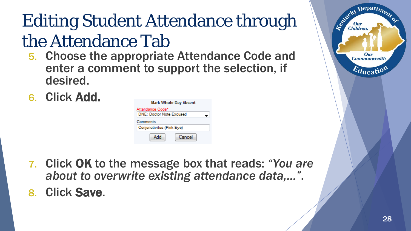## Editing Student Attendance through the Attendance Tab

- 5. Choose the appropriate Attendance Code and enter a comment to support the selection, if desired.
- 6. Click Add.

| <b>Mark Whole Day Absent</b>    |
|---------------------------------|
| Attendance Code*                |
| <b>DNE: Doctor Note Excused</b> |
| Comments                        |
| Conjunctivitus (Pink Eye)       |
| Cancel<br>Add                   |

- 7. Click OK to the message box that reads: *"You are about to overwrite existing attendance data,…"*.
- 8. Click Save.

Departme.

Our **Commonwealth** 

 $E_{\text{ducati}}$ 

Leo Kucky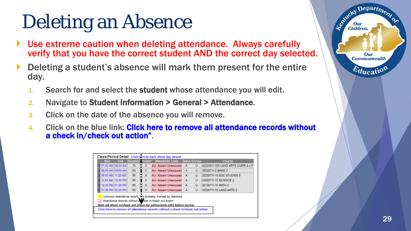# Deleting an Absence

- Use extreme caution when deleting attendance. Always carefully verify that you have the correct student AND the correct day selected.
- Deleting a student's absence will mark them present for the entire day.
	- 1. Search for and select the student whose attendance you will edit.
	- 2. Navigate to Student Information > General > Attendance.
	- 3. Click on the date of the absence you will remove.
	- 4. Click on the blue link: Click here to remove all attendance records without a check in/check out action".

| <b>Start</b>      | End               |                 |   | Duration Present Attendance Code Status Excuse                                                                                                                                                                                                                                      |   | Course                            |
|-------------------|-------------------|-----------------|---|-------------------------------------------------------------------------------------------------------------------------------------------------------------------------------------------------------------------------------------------------------------------------------------|---|-----------------------------------|
|                   | 07:40 AM 08:50 AM | 70              | ٥ | AU: Absent Unexcused A                                                                                                                                                                                                                                                              | U | 32323011-703 LANG ARTS CURR & LIT |
|                   | 08:50 AM 09:50 AM | 60              | ٥ | AU: Absent Unexcused A                                                                                                                                                                                                                                                              | U | 38320711-2 BAND 2                 |
| 09:50 AM 11:20 AM |                   | 90 <sub>o</sub> | ۰ | AU: Absent Unexcused A                                                                                                                                                                                                                                                              | U | 32220711-10 SOC STUDIES 2         |
|                   | 11:20 AM 12:20 PM | 60              | ٥ | AU: Absent Unexcused A                                                                                                                                                                                                                                                              | U | 34020711-10 SCIENCE 2             |
|                   | 12:20 PM 01:20 PM | 60              | ٥ | AU: Absent Unexcused A                                                                                                                                                                                                                                                              | U | 32720711-10 MATH 2                |
| 01:20 PM 02:20 PM |                   | 60              | Ō | AU: Absent Unexcused A                                                                                                                                                                                                                                                              | U | 32320711-10 LANG ARTS 2           |
|                   |                   |                 |   | Unknown attendance record. Ws probably marked by teachers.<br>Attendance records without a meck in/check out action.<br>Must set check in/check out action for yellow/pink cells before saving.<br>Click here to remove all attendance records without a check in/check out action. |   |                                   |

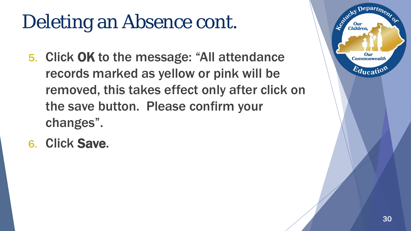# Deleting an Absence cont.

- 5. Click OK to the message: "All attendance records marked as yellow or pink will be removed, this takes effect only after click on the save button. Please confirm your changes".
- 6. Click Save.

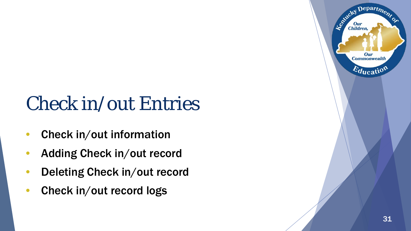# Check in/out Entries

- Check in/out information
- Adding Check in/out record
- Deleting Check in/out record
- Check in/out record logs

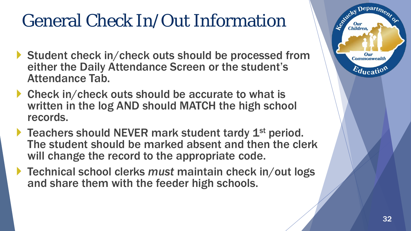## General Check In/Out Information

- Student check in/check outs should be processed from either the Daily Attendance Screen or the student's Attendance Tab.
- ▶ Check in/check outs should be accurate to what is written in the log AND should MATCH the high school records.
- $\blacktriangleright$  Teachers should NEVER mark student tardy  $1^\text{st}$  period. The student should be marked absent and then the clerk will change the record to the appropriate code.
- ▶ Technical school clerks *must* maintain check in/out logs and share them with the feeder high schools.

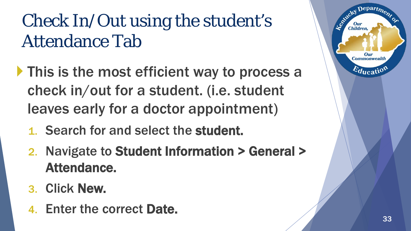## Check In/Out using the student's Attendance Tab

- If This is the most efficient way to process a check in/out for a student. (i.e. student leaves early for a doctor appointment)
	- 1. Search for and select the student.
	- 2. Navigate to Student Information > General > Attendance.
	- 3. Click New.
	- 4. Enter the correct Date.

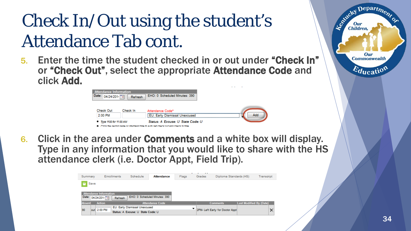## Check In/Out using the student's Attendance Tab cont.

5. Enter the time the student checked in or out under "Check In" or "Check Out", select the appropriate Attendance Code and click Add.

| <b>Attendance Information</b><br>Date: 04/24/2014 | Refresh  | EHO: 0 Scheduled Minutes: 390                                                                                          |     |
|---------------------------------------------------|----------|------------------------------------------------------------------------------------------------------------------------|-----|
| <b>Check Out</b>                                  | Check In | Attendance Code*                                                                                                       |     |
| 2:00 PM                                           |          | <b>FU: Farly Dismissal Unexcused</b>                                                                                   | Add |
| • Type 1100 for 11:00 AM                          |          | Status: A Excuse: U State Code: U<br>Citricithe neriod name or startiend time to auto set check out and check in time. |     |

6. Click in the area under Comments and a white box will display. Type in any information that you would like to share with the HS attendance clerk (i.e. Doctor Appt, Field Trip).

| Summary                       | Schedule<br><b>Attendance</b><br>Flags<br><b>Enrollments</b> |                                   |                               |  | 11, 11,<br>Grades               | Diploma Standards (HS) | Transcript                     |          |
|-------------------------------|--------------------------------------------------------------|-----------------------------------|-------------------------------|--|---------------------------------|------------------------|--------------------------------|----------|
| e<br>Save                     |                                                              |                                   |                               |  |                                 |                        |                                |          |
| <b>Attendance Information</b> |                                                              |                                   |                               |  |                                 |                        |                                |          |
| Date: 04/24/2014              | Refresh                                                      |                                   | EHO: 0 Scheduled Minutes: 390 |  |                                 |                        |                                |          |
| <b>Absent</b><br>Action       |                                                              |                                   | <b>Attendance Code</b>        |  |                                 | <b>Comments</b>        | <b>Last Modified By (Date)</b> |          |
|                               | EU: Early Dismissal Unexcused                                |                                   |                               |  |                                 |                        |                                |          |
| 90<br>out 2:00 PM             |                                                              | Status: A Excuse: U State Code: U |                               |  | 2PM- Left Early for Doctor Appt |                        |                                | $\times$ |

 $Depart_{D}$ 

Our **Commonwealth** 

 $E_{\text{ducati}}$ 

Leptucky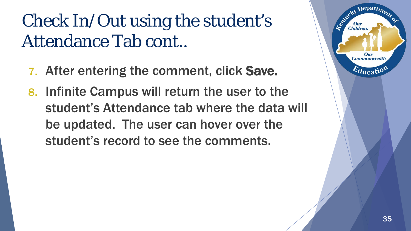## Check In/Out using the student's Attendance Tab cont..

- 7. After entering the comment, click Save.
- 8. Infinite Campus will return the user to the student's Attendance tab where the data will be updated. The user can hover over the student's record to see the comments.

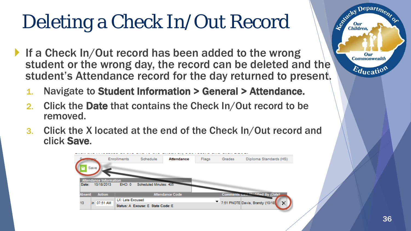# Deleting a Check In/Out Record

- If a Check In/Out record has been added to the wrong student or the wrong day, the record can be deleted and the student's Attendance record for the day returned to present.
	- 1. Navigate to Student Information > General > Attendance.
	- 2. Click the Date that contains the Check In/Out record to be removed.
	- 3. Click the X located at the end of the Check In/Out record and click Save.



Departme.

Our **Commonwealth** 

 $E_{\text{ducatio}}$ 

Leo<sup>xideky</sup>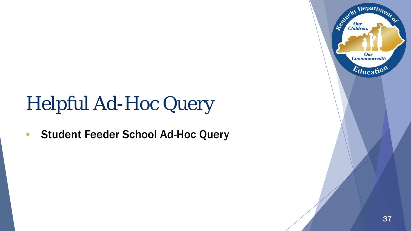# Helpful Ad-Hoc Query

• Student Feeder School Ad-Hoc Query



Department

Our **Commonwealth** 

 $E_{\text{ducatio}}$ 

Entreted Dun

Our<br>Children,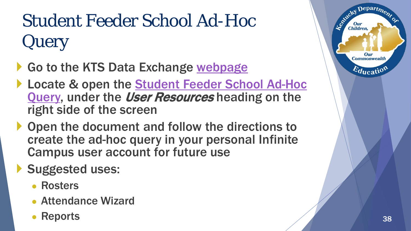# Student Feeder School Ad-Hoc Query

- Go to the KTS Data Exchange [webpage](http://education.ky.gov/districts/tech/sis/Pages/KSIS-KTS-Data-Exchange.aspx)
- ▶ Locate & open the Student Feeder School Ad-Hoc Query, under the *User Resources* heading on the right side of the screen
- ▶ Open the document and follow the directions to create the ad-hoc query in your personal Infinite Campus user account for future use
- Suggested uses:
	- Rosters
	- Attendance Wizard
	- Reports

Departme.

Our **Commonwealth** 

 $E_{\text{ducati}}$ 

Le Child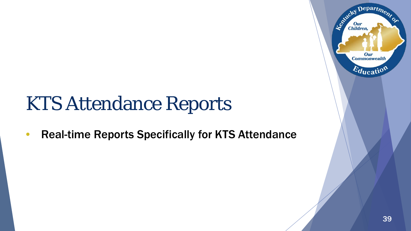# KTS Attendance Reports

• Real-time Reports Specifically for KTS Attendance

Departme.

Our **Commonwealth** 

 $E_{\text{ducati}}$ 

Agentucky I

Our<br>Children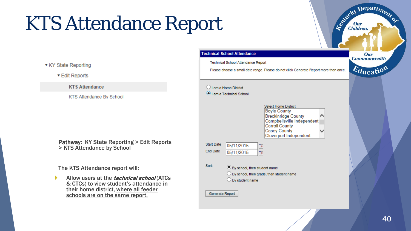# KTS Attendance Report

▼ KY State Reporting

▼ Edit Reports

**KTS Attendance** 

KTS Attendance By School

**Pathway: KY State Reporting > Edit Reports** > KTS Attendance by School

The KTS Attendance report will:

Allow users at the *technical school* (ATCs) & CTCs) to view student's attendance in their home district, where all feeder schools are on the same report.

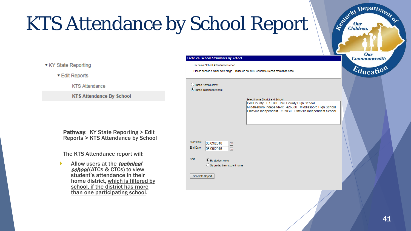# KTS Attendance by School Report

▼ KY State Reporting

▼ Edit Reports

**KTS Attendance** 

**KTS Attendance By School** 

Pathway: KY State Reporting > Edit Reports > KTS Attendance by School

The KTS Attendance report will:

Allow users at the *technical* school (ATCs & CTCs) to view student's attendance in their home district, which is filtered by school, if the district has more than one participating school.



Department

Le Children

Our Children,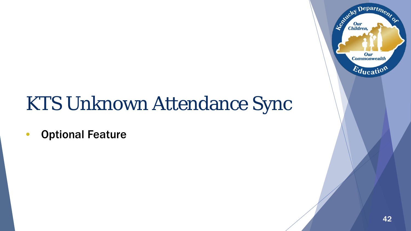# KTS Unknown Attendance Sync

• Optional Feature

Department

Our **Commonwealth** 

 $E_{\text{ducati}}$ 

Entreted Dun

Our<br>Children,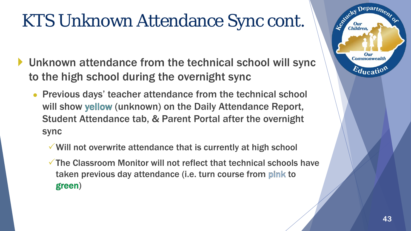#### KTS Unknown Attendance Sync cont.

- Unknown attendance from the technical school will sync to the high school during the overnight sync
	- Previous days' teacher attendance from the technical school will show yellow (unknown) on the Daily Attendance Report, Student Attendance tab, & Parent Portal after the overnight sync
		- Will not overwrite attendance that is currently at high school
		- $\checkmark$  The Classroom Monitor will not reflect that technical schools have taken previous day attendance (i.e. turn course from pink to green)

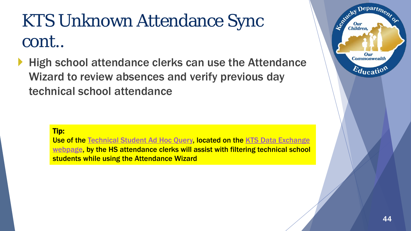## KTS Unknown Attendance Sync cont..

High school attendance clerks can use the Attendance Wizard to review absences and verify previous day technical school attendance



[Use of the Technical Student Ad Hoc Query, located on the KTS Data Exchange](http://education.ky.gov/districts/tech/sis/Pages/KSIS-KTS-Data-Exchange.aspx)  webpage, by the HS attendance clerks will assist with filtering technical school students while using the Attendance Wizard

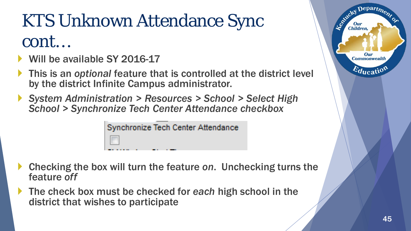## KTS Unknown Attendance Sync cont…

- Will be available SY 2016-17
- This is an *optional* feature that is controlled at the district level by the district Infinite Campus administrator.
- *System Administration > Resources > School > Select High School > Synchronize Tech Center Attendance checkbox*

Synchronize Tech Center Attendance

- Checking the box will turn the feature *on*. Unchecking turns the feature *off*
- The check box must be checked for *each* high school in the district that wishes to participate